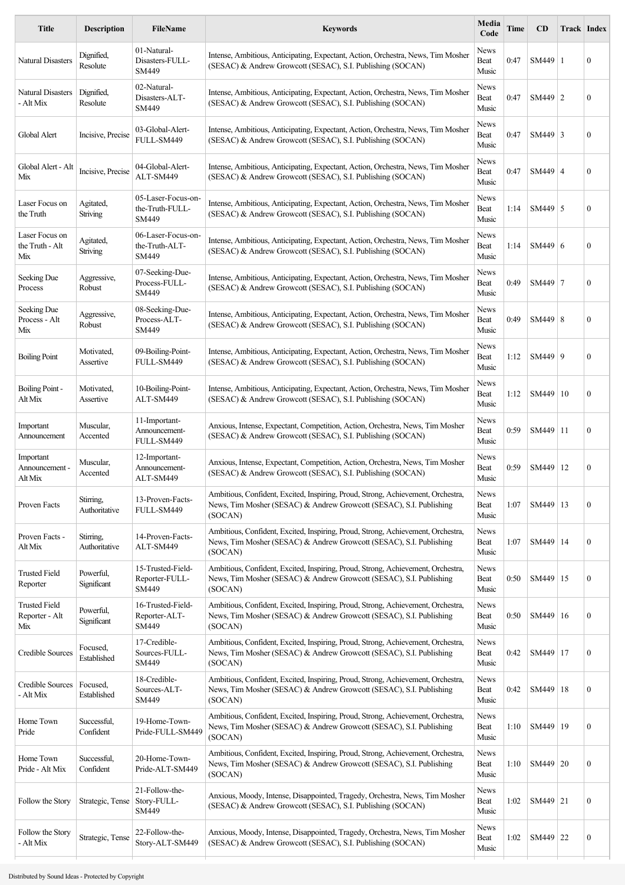| <b>Title</b>                                  | <b>Description</b>           | <b>FileName</b>                                | <b>Keywords</b>                                                                                                                                                    | Media<br>Code         | Time | CD             | Track Index |                  |
|-----------------------------------------------|------------------------------|------------------------------------------------|--------------------------------------------------------------------------------------------------------------------------------------------------------------------|-----------------------|------|----------------|-------------|------------------|
| <b>Natural Disasters</b>                      | Dignified,<br>Resolute       | 01-Natural-<br>Disasters-FULL-<br>SM449        | Intense, Ambitious, Anticipating, Expectant, Action, Orchestra, News, Tim Mosher<br>(SESAC) & Andrew Growcott (SESAC), S.I. Publishing (SOCAN)                     | News<br>Beat<br>Music | 0:47 | SM449   1      |             | $\boldsymbol{0}$ |
| Natural Disasters<br>- Alt Mix                | Dignified,<br>Resolute       | 02-Natural-<br>Disasters-ALT-<br>SM449         | Intense, Ambitious, Anticipating, Expectant, Action, Orchestra, News, Tim Mosher<br>(SESAC) & Andrew Growcott (SESAC), S.I. Publishing (SOCAN)                     | News<br>Beat<br>Music | 0:47 | $SM449$   2    |             | $\boldsymbol{0}$ |
| Global Alert                                  | Incisive, Precise            | 03-Global-Alert-<br>FULL-SM449                 | Intense, Ambitious, Anticipating, Expectant, Action, Orchestra, News, Tim Mosher<br>(SESAC) & Andrew Growcott (SESAC), S.I. Publishing (SOCAN)                     | News<br>Beat<br>Music | 0:47 | $SM449$ 3      |             | $\boldsymbol{0}$ |
| Global Alert - Alt<br>Mix                     | Incisive, Precise            | 04-Global-Alert-<br>ALT-SM449                  | Intense, Ambitious, Anticipating, Expectant, Action, Orchestra, News, Tim Mosher<br>(SESAC) & Andrew Growcott (SESAC), S.I. Publishing (SOCAN)                     | News<br>Beat<br>Music | 0:47 | $SM449 \mid 4$ |             | $\boldsymbol{0}$ |
| Laser Focus on<br>the Truth                   | Agitated,<br>Striving        | 05-Laser-Focus-on-<br>the-Truth-FULL-<br>SM449 | Intense, Ambitious, Anticipating, Expectant, Action, Orchestra, News, Tim Mosher<br>(SESAC) & Andrew Growcott (SESAC), S.I. Publishing (SOCAN)                     | News<br>Beat<br>Music | 1:14 | $SM449$ 5      |             | $\overline{0}$   |
| Laser Focus on<br>the Truth - Alt<br>Mix      | Agitated,<br><b>Striving</b> | 06-Laser-Focus-on-<br>the-Truth-ALT-<br>SM449  | Intense, Ambitious, Anticipating, Expectant, Action, Orchestra, News, Tim Mosher<br>(SESAC) & Andrew Growcott (SESAC), S.I. Publishing (SOCAN)                     | News<br>Beat<br>Music | 1:14 | SM449 6        |             | $\boldsymbol{0}$ |
| Seeking Due<br>Process                        | Aggressive,<br>Robust        | 07-Seeking-Due-<br>Process-FULL-<br>SM449      | Intense, Ambitious, Anticipating, Expectant, Action, Orchestra, News, Tim Mosher<br>(SESAC) & Andrew Growcott (SESAC), S.I. Publishing (SOCAN)                     | News<br>Beat<br>Music | 0:49 | SM449 7        |             | 0                |
| Seeking Due<br>Process - Alt<br>Mix           | Aggressive,<br>Robust        | 08-Seeking-Due-<br>Process-ALT-<br>SM449       | Intense, Ambitious, Anticipating, Expectant, Action, Orchestra, News, Tim Mosher<br>(SESAC) & Andrew Growcott (SESAC), S.I. Publishing (SOCAN)                     | News<br>Beat<br>Music | 0:49 | SM449   8      |             | $\boldsymbol{0}$ |
| <b>Boiling Point</b>                          | Motivated,<br>Assertive      | 09-Boiling-Point-<br>FULL-SM449                | Intense, Ambitious, Anticipating, Expectant, Action, Orchestra, News, Tim Mosher<br>(SESAC) & Andrew Growcott (SESAC), S.I. Publishing (SOCAN)                     | News<br>Beat<br>Music | 1:12 | SM449 9        |             | $\boldsymbol{0}$ |
| Boiling Point -<br>Alt Mix                    | Motivated,<br>Assertive      | 10-Boiling-Point-<br>ALT-SM449                 | Intense, Ambitious, Anticipating, Expectant, Action, Orchestra, News, Tim Mosher<br>(SESAC) & Andrew Growcott (SESAC), S.I. Publishing (SOCAN)                     | News<br>Beat<br>Music | 1:12 | SM449          | 10          | $\boldsymbol{0}$ |
| Important<br>Announcement                     | Muscular,<br>Accented        | 11-Important-<br>Announcement-<br>FULL-SM449   | Anxious, Intense, Expectant, Competition, Action, Orchestra, News, Tim Mosher<br>(SESAC) & Andrew Growcott (SESAC), S.I. Publishing (SOCAN)                        | News<br>Beat<br>Music | 0:59 | SM449   11     |             | $\boldsymbol{0}$ |
| Important<br>Announcement -<br>Alt Mix        | Muscular,<br>Accented        | 12-Important-<br>Announcement-<br>ALT-SM449    | Anxious, Intense, Expectant, Competition, Action, Orchestra, News, Tim Mosher<br>(SESAC) & Andrew Growcott (SESAC), S.I. Publishing (SOCAN)                        | News<br>Beat<br>Music | 0:59 | SM449   12     |             | $\boldsymbol{0}$ |
| Proven Facts                                  | Stirring,<br>Authoritative   | 13-Proven-Facts-<br>FULL-SM449                 | Ambitious, Confident, Excited, Inspiring, Proud, Strong, Achievement, Orchestra,<br>News, Tim Mosher (SESAC) & Andrew Growcott (SESAC), S.I. Publishing<br>(SOCAN) | News<br>Beat<br>Music | 1:07 | SM449   13     |             | $\boldsymbol{0}$ |
| Proven Facts -<br>Alt Mix                     | Stirring,<br>Authoritative   | 14-Proven-Facts-<br>ALT-SM449                  | Ambitious, Confident, Excited, Inspiring, Proud, Strong, Achievement, Orchestra,<br>News, Tim Mosher (SESAC) & Andrew Growcott (SESAC), S.I. Publishing<br>(SOCAN) | News<br>Beat<br>Music | 1:07 | SM449   14     |             | $\boldsymbol{0}$ |
| <b>Trusted Field</b><br>Reporter              | Powerful,<br>Significant     | 15-Trusted-Field-<br>Reporter-FULL-<br>SM449   | Ambitious, Confident, Excited, Inspiring, Proud, Strong, Achievement, Orchestra,<br>News, Tim Mosher (SESAC) & Andrew Growcott (SESAC), S.I. Publishing<br>(SOCAN) | News<br>Beat<br>Music | 0:50 | SM449   15     |             | $\boldsymbol{0}$ |
| <b>Trusted Field</b><br>Reporter - Alt<br>Mix | Powerful,<br>Significant     | 16-Trusted-Field-<br>Reporter-ALT-<br>SM449    | Ambitious, Confident, Excited, Inspiring, Proud, Strong, Achievement, Orchestra,<br>News, Tim Mosher (SESAC) & Andrew Growcott (SESAC), S.I. Publishing<br>(SOCAN) | News<br>Beat<br>Music | 0:50 | SM449   16     |             | 0                |
| Credible Sources                              | Focused,<br>Established      | 17-Credible-<br>Sources-FULL-<br>SM449         | Ambitious, Confident, Excited, Inspiring, Proud, Strong, Achievement, Orchestra,<br>News, Tim Mosher (SESAC) & Andrew Growcott (SESAC), S.I. Publishing<br>(SOCAN) | News<br>Beat<br>Music | 0:42 | SM449   17     |             | $\boldsymbol{0}$ |
| Credible Sources<br>- Alt Mix                 | Focused,<br>Established      | 18-Credible-<br>Sources-ALT-<br>SM449          | Ambitious, Confident, Excited, Inspiring, Proud, Strong, Achievement, Orchestra,<br>News, Tim Mosher (SESAC) & Andrew Growcott (SESAC), S.I. Publishing<br>(SOCAN) | News<br>Beat<br>Music | 0:42 | SM449   18     |             | 0                |
| Home Town<br>Pride                            | Successful,<br>Confident     | 19-Home-Town-<br>Pride-FULL-SM449              | Ambitious, Confident, Excited, Inspiring, Proud, Strong, Achievement, Orchestra,<br>News, Tim Mosher (SESAC) & Andrew Growcott (SESAC), S.I. Publishing<br>(SOCAN) | News<br>Beat<br>Music | 1:10 | SM449   19     |             | $\boldsymbol{0}$ |
| Home Town<br>Pride - Alt Mix                  | Successful,<br>Confident     | 20-Home-Town-<br>Pride-ALT-SM449               | Ambitious, Confident, Excited, Inspiring, Proud, Strong, Achievement, Orchestra,<br>News, Tim Mosher (SESAC) & Andrew Growcott (SESAC), S.I. Publishing<br>(SOCAN) | News<br>Beat<br>Music | 1:10 | SM449 20       |             | 0                |
| Follow the Story                              | Strategic, Tense             | 21-Follow-the-<br>Story-FULL-<br>SM449         | Anxious, Moody, Intense, Disappointed, Tragedy, Orchestra, News, Tim Mosher<br>(SESAC) & Andrew Growcott (SESAC), S.I. Publishing (SOCAN)                          | News<br>Beat<br>Music | 1:02 | SM449 21       |             | $\boldsymbol{0}$ |
| Follow the Story<br>- Alt Mix                 | Strategic, Tense             | 22-Follow-the-<br>Story-ALT-SM449              | Anxious, Moody, Intense, Disappointed, Tragedy, Orchestra, News, Tim Mosher<br>(SESAC) & Andrew Growcott (SESAC), S.I. Publishing (SOCAN)                          | News<br>Beat<br>Music | 1:02 | SM449 22       |             | $\boldsymbol{0}$ |